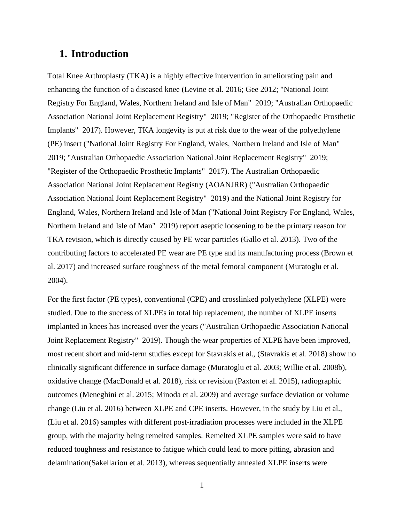# **1. Introduction**

Total Knee Arthroplasty (TKA) is a highly effective intervention in ameliorating pain and enhancing the function of a diseased knee (Levine et al. 2016; Gee 2012; "National Joint Registry For England, Wales, Northern Ireland and Isle of Man" 2019; "Australian Orthopaedic Association National Joint Replacement Registry" 2019; "Register of the Orthopaedic Prosthetic Implants" 2017). However, TKA longevity is put at risk due to the wear of the polyethylene (PE) insert ("National Joint Registry For England, Wales, Northern Ireland and Isle of Man" 2019; "Australian Orthopaedic Association National Joint Replacement Registry" 2019; "Register of the Orthopaedic Prosthetic Implants" 2017). The Australian Orthopaedic Association National Joint Replacement Registry (AOANJRR) ("Australian Orthopaedic Association National Joint Replacement Registry" 2019) and the National Joint Registry for England, Wales, Northern Ireland and Isle of Man ("National Joint Registry For England, Wales, Northern Ireland and Isle of Man" 2019) report aseptic loosening to be the primary reason for TKA revision, which is directly caused by PE wear particles (Gallo et al. 2013). Two of the contributing factors to accelerated PE wear are PE type and its manufacturing process (Brown et al. 2017) and increased surface roughness of the metal femoral component (Muratoglu et al. 2004).

For the first factor (PE types), conventional (CPE) and crosslinked polyethylene (XLPE) were studied. Due to the success of XLPEs in total hip replacement, the number of XLPE inserts implanted in knees has increased over the years ("Australian Orthopaedic Association National Joint Replacement Registry" 2019). Though the wear properties of XLPE have been improved, most recent short and mid-term studies except for Stavrakis et al., (Stavrakis et al. 2018) show no clinically significant difference in surface damage (Muratoglu et al. 2003; Willie et al. 2008b), oxidative change (MacDonald et al. 2018), risk or revision (Paxton et al. 2015), radiographic outcomes (Meneghini et al. 2015; Minoda et al. 2009) and average surface deviation or volume change (Liu et al. 2016) between XLPE and CPE inserts. However, in the study by Liu et al., (Liu et al. 2016) samples with different post-irradiation processes were included in the XLPE group, with the majority being remelted samples. Remelted XLPE samples were said to have reduced toughness and resistance to fatigue which could lead to more pitting, abrasion and delamination(Sakellariou et al. 2013), whereas sequentially annealed XLPE inserts were

1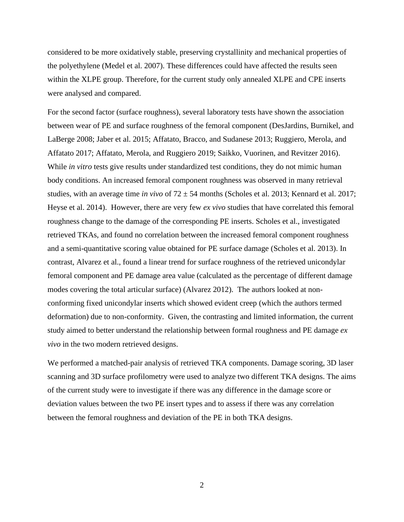considered to be more oxidatively stable, preserving crystallinity and mechanical properties of the polyethylene (Medel et al. 2007). These differences could have affected the results seen within the XLPE group. Therefore, for the current study only annealed XLPE and CPE inserts were analysed and compared.

For the second factor (surface roughness), several laboratory tests have shown the association between wear of PE and surface roughness of the femoral component (DesJardins, Burnikel, and LaBerge 2008; Jaber et al. 2015; Affatato, Bracco, and Sudanese 2013; Ruggiero, Merola, and Affatato 2017; Affatato, Merola, and Ruggiero 2019; Saikko, Vuorinen, and Revitzer 2016). While *in vitro* tests give results under standardized test conditions, they do not mimic human body conditions. An increased femoral component roughness was observed in many retrieval studies, with an average time *in vivo* of 72 ± 54 months (Scholes et al. 2013; Kennard et al. 2017; Heyse et al. 2014). However, there are very few *ex vivo* studies that have correlated this femoral roughness change to the damage of the corresponding PE inserts. Scholes et al., investigated retrieved TKAs, and found no correlation between the increased femoral component roughness and a semi-quantitative scoring value obtained for PE surface damage (Scholes et al. 2013). In contrast, Alvarez et al., found a linear trend for surface roughness of the retrieved unicondylar femoral component and PE damage area value (calculated as the percentage of different damage modes covering the total articular surface) (Alvarez 2012). The authors looked at nonconforming fixed unicondylar inserts which showed evident creep (which the authors termed deformation) due to non-conformity. Given, the contrasting and limited information, the current study aimed to better understand the relationship between formal roughness and PE damage *ex vivo* in the two modern retrieved designs.

We performed a matched-pair analysis of retrieved TKA components. Damage scoring, 3D laser scanning and 3D surface profilometry were used to analyze two different TKA designs. The aims of the current study were to investigate if there was any difference in the damage score or deviation values between the two PE insert types and to assess if there was any correlation between the femoral roughness and deviation of the PE in both TKA designs.

2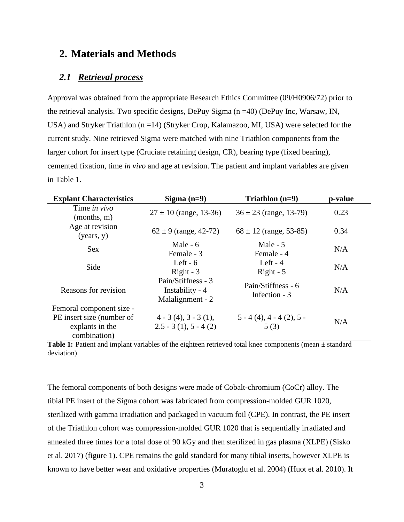# **2. Materials and Methods**

#### *2.1 Retrieval process*

Approval was obtained from the appropriate Research Ethics Committee (09/H0906/72) prior to the retrieval analysis. Two specific designs, DePuy Sigma (n =40) (DePuy Inc, Warsaw, IN, USA) and Stryker Triathlon (n =14) (Stryker Crop, Kalamazoo, MI, USA) were selected for the current study. Nine retrieved Sigma were matched with nine Triathlon components from the larger cohort for insert type (Cruciate retaining design, CR), bearing type (fixed bearing), cemented fixation, time *in vivo* and age at revision. The patient and implant variables are given in Table 1.

| <b>Explant Characteristics</b>                               | Sigma $(n=9)$                                             | Triathlon $(n=9)$                   | p-value |
|--------------------------------------------------------------|-----------------------------------------------------------|-------------------------------------|---------|
| Time in vivo<br>(months, m)                                  | $27 \pm 10$ (range, 13-36)                                | $36 \pm 23$ (range, 13-79)          | 0.23    |
| Age at revision<br>(years, y)                                | $62 \pm 9$ (range, 42-72)                                 | $68 \pm 12$ (range, 53-85)          | 0.34    |
| <b>Sex</b>                                                   | Male $-6$<br>Female - 3                                   | Male $-5$<br>Female - 4             | N/A     |
| Side                                                         | Left - $6$<br>$Right - 3$                                 | Left - $4$<br>$Right - 5$           | N/A     |
| Reasons for revision                                         | Pain/Stiffness - 3<br>Instability - 4<br>Malalignment - 2 | Pain/Stiffness - 6<br>Infection - 3 | N/A     |
| Femoral component size -                                     |                                                           |                                     |         |
| PE insert size (number of<br>explants in the<br>combination) | $4 - 3(4)$ , $3 - 3(1)$ ,<br>$2.5 - 3(1), 5 - 4(2)$       | $5 - 4(4)$ , 4 - 4 (2), 5 -<br>5(3) | N/A     |

Table 1: Patient and implant variables of the eighteen retrieved total knee components (mean  $\pm$  standard deviation)

The femoral components of both designs were made of Cobalt-chromium (CoCr) alloy. The tibial PE insert of the Sigma cohort was fabricated from compression-molded GUR 1020, sterilized with gamma irradiation and packaged in vacuum foil (CPE). In contrast, the PE insert of the Triathlon cohort was compression-molded GUR 1020 that is sequentially irradiated and annealed three times for a total dose of 90 kGy and then sterilized in gas plasma (XLPE) (Sisko et al. 2017) (figure 1). CPE remains the gold standard for many tibial inserts, however XLPE is known to have better wear and oxidative properties (Muratoglu et al. 2004) (Huot et al. 2010). It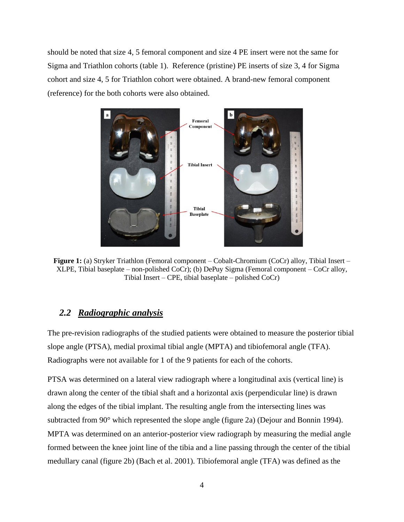should be noted that size 4, 5 femoral component and size 4 PE insert were not the same for Sigma and Triathlon cohorts (table 1). Reference (pristine) PE inserts of size 3, 4 for Sigma cohort and size 4, 5 for Triathlon cohort were obtained. A brand-new femoral component (reference) for the both cohorts were also obtained.



**Figure 1:** (a) Stryker Triathlon (Femoral component – Cobalt-Chromium (CoCr) alloy, Tibial Insert – XLPE, Tibial baseplate – non-polished CoCr); (b) DePuy Sigma (Femoral component – CoCr alloy, Tibial Insert – CPE, tibial baseplate – polished CoCr)

# *2.2 Radiographic analysis*

The pre-revision radiographs of the studied patients were obtained to measure the posterior tibial slope angle (PTSA), medial proximal tibial angle (MPTA) and tibiofemoral angle (TFA). Radiographs were not available for 1 of the 9 patients for each of the cohorts.

PTSA was determined on a lateral view radiograph where a longitudinal axis (vertical line) is drawn along the center of the tibial shaft and a horizontal axis (perpendicular line) is drawn along the edges of the tibial implant. The resulting angle from the intersecting lines was subtracted from 90° which represented the slope angle (figure 2a) (Dejour and Bonnin 1994). MPTA was determined on an anterior-posterior view radiograph by measuring the medial angle formed between the knee joint line of the tibia and a line passing through the center of the tibial medullary canal (figure 2b) (Bach et al. 2001). Tibiofemoral angle (TFA) was defined as the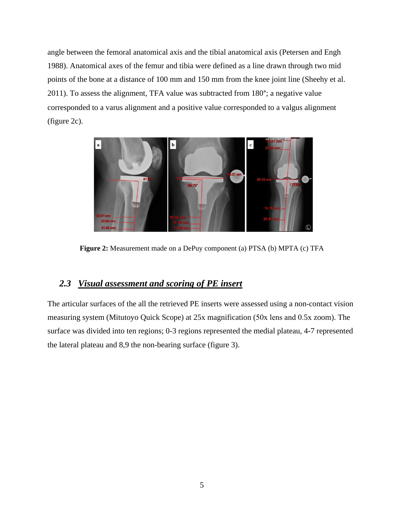angle between the femoral anatomical axis and the tibial anatomical axis (Petersen and Engh 1988). Anatomical axes of the femur and tibia were defined as a line drawn through two mid points of the bone at a distance of 100 mm and 150 mm from the knee joint line (Sheehy et al. 2011). To assess the alignment, TFA value was subtracted from 180°; a negative value corresponded to a varus alignment and a positive value corresponded to a valgus alignment (figure 2c).



**Figure 2:** Measurement made on a DePuy component (a) PTSA (b) MPTA (c) TFA

# *2.3 Visual assessment and scoring of PE insert*

The articular surfaces of the all the retrieved PE inserts were assessed using a non-contact vision measuring system (Mitutoyo Quick Scope) at 25х magnification (50х lens and 0.5х zoom). The surface was divided into ten regions; 0-3 regions represented the medial plateau, 4-7 represented the lateral plateau and 8,9 the non-bearing surface (figure 3).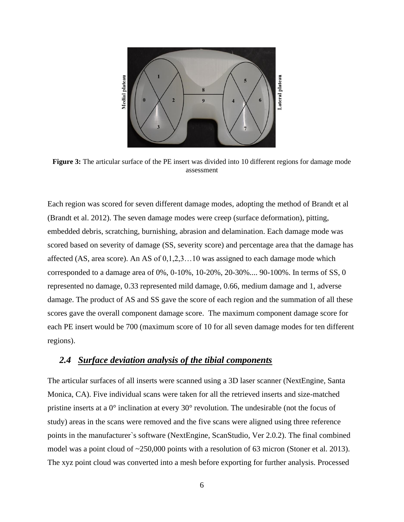

**Figure 3:** The articular surface of the PE insert was divided into 10 different regions for damage mode assessment

Each region was scored for seven different damage modes, adopting the method of Brandt et al (Brandt et al. 2012). The seven damage modes were creep (surface deformation), pitting, embedded debris, scratching, burnishing, abrasion and delamination. Each damage mode was scored based on severity of damage (SS, severity score) and percentage area that the damage has affected (AS, area score). An AS of 0,1,2,3…10 was assigned to each damage mode which corresponded to a damage area of 0%, 0-10%, 10-20%, 20-30%.... 90-100%. In terms of SS, 0 represented no damage, 0.33 represented mild damage, 0.66, medium damage and 1, adverse damage. The product of AS and SS gave the score of each region and the summation of all these scores gave the overall component damage score. The maximum component damage score for each PE insert would be 700 (maximum score of 10 for all seven damage modes for ten different regions).

### *2.4 Surface deviation analysis of the tibial components*

The articular surfaces of all inserts were scanned using a 3D laser scanner (NextEngine, Santa Monica, CA). Five individual scans were taken for all the retrieved inserts and size-matched pristine inserts at a 0° inclination at every 30° revolution. The undesirable (not the focus of study) areas in the scans were removed and the five scans were aligned using three reference points in the manufacturer`s software (NextEngine, ScanStudio, Ver 2.0.2). The final combined model was a point cloud of ~250,000 points with a resolution of 63 micron (Stoner et al. 2013). The xyz point cloud was converted into a mesh before exporting for further analysis. Processed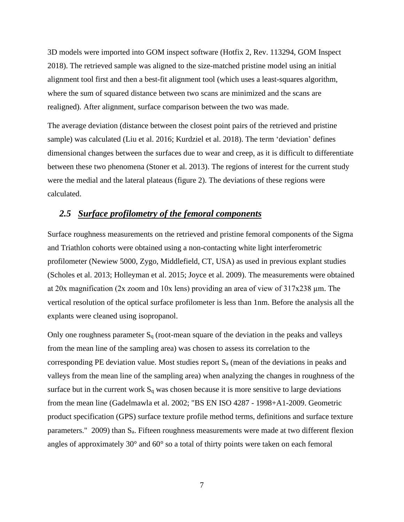3D models were imported into GOM inspect software (Hotfix 2, Rev. 113294, GOM Inspect 2018). The retrieved sample was aligned to the size-matched pristine model using an initial alignment tool first and then a best-fit alignment tool (which uses a least-squares algorithm, where the sum of squared distance between two scans are minimized and the scans are realigned). After alignment, surface comparison between the two was made.

The average deviation (distance between the closest point pairs of the retrieved and pristine sample) was calculated (Liu et al. 2016; Kurdziel et al. 2018). The term 'deviation' defines dimensional changes between the surfaces due to wear and creep, as it is difficult to differentiate between these two phenomena (Stoner et al. 2013). The regions of interest for the current study were the medial and the lateral plateaus (figure 2). The deviations of these regions were calculated.

### *2.5 Surface profilometry of the femoral components*

Surface roughness measurements on the retrieved and pristine femoral components of the Sigma and Triathlon cohorts were obtained using a non-contacting white light interferometric profilometer (Newiew 5000, Zygo, Middlefield, CT, USA) as used in previous explant studies (Scholes et al. 2013; Holleyman et al. 2015; Joyce et al. 2009). The measurements were obtained at 20x magnification (2x zoom and 10x lens) providing an area of view of  $317x238 \mu m$ . The vertical resolution of the optical surface profilometer is less than 1nm. Before the analysis all the explants were cleaned using isopropanol.

Only one roughness parameter  $S_q$  (root-mean square of the deviation in the peaks and valleys from the mean line of the sampling area) was chosen to assess its correlation to the corresponding PE deviation value. Most studies report  $S_a$  (mean of the deviations in peaks and valleys from the mean line of the sampling area) when analyzing the changes in roughness of the surface but in the current work  $S_q$  was chosen because it is more sensitive to large deviations from the mean line (Gadelmawla et al. 2002; "BS EN ISO 4287 - 1998+A1-2009. Geometric product specification (GPS) surface texture profile method terms, definitions and surface texture parameters." 2009) than Sa. Fifteen roughness measurements were made at two different flexion angles of approximately 30° and 60° so a total of thirty points were taken on each femoral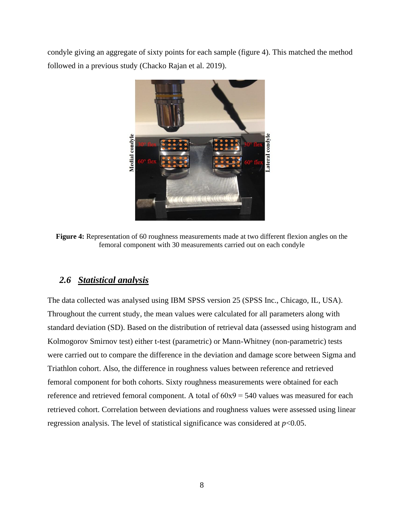condyle giving an aggregate of sixty points for each sample (figure 4). This matched the method followed in a previous study (Chacko Rajan et al. 2019).



**Figure 4:** Representation of 60 roughness measurements made at two different flexion angles on the femoral component with 30 measurements carried out on each condyle

## *2.6 Statistical analysis*

The data collected was analysed using IBM SPSS version 25 (SPSS Inc., Chicago, IL, USA). Throughout the current study, the mean values were calculated for all parameters along with standard deviation (SD). Based on the distribution of retrieval data (assessed using histogram and Kolmogorov Smirnov test) either t-test (parametric) or Mann-Whitney (non-parametric) tests were carried out to compare the difference in the deviation and damage score between Sigma and Triathlon cohort. Also, the difference in roughness values between reference and retrieved femoral component for both cohorts. Sixty roughness measurements were obtained for each reference and retrieved femoral component. A total of 60х9 = 540 values was measured for each retrieved cohort. Correlation between deviations and roughness values were assessed using linear regression analysis. The level of statistical significance was considered at  $p<0.05$ .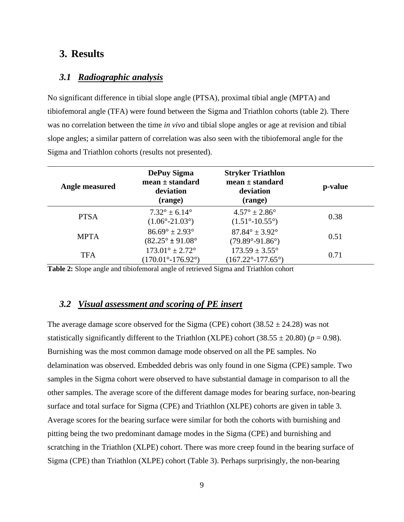# **3. Results**

### *3.1 Radiographic analysis*

No significant difference in tibial slope angle (PTSA), proximal tibial angle (MPTA) and tibiofemoral angle (TFA) were found between the Sigma and Triathlon cohorts (table 2). There was no correlation between the time *in vivo* and tibial slope angles or age at revision and tibial slope angles; a similar pattern of correlation was also seen with the tibiofemoral angle for the Sigma and Triathlon cohorts (results not presented).

| Angle measured | <b>DePuy Sigma</b><br>$mean \pm standard$<br>deviation<br>(range)        | <b>Stryker Triathlon</b><br>$mean \pm standard$<br>deviation<br>(range) | p-value |
|----------------|--------------------------------------------------------------------------|-------------------------------------------------------------------------|---------|
| <b>PTSA</b>    | $7.32^{\circ} \pm 6.14^{\circ}$<br>$(1.06^{\circ} - 21.03^{\circ})$      | $4.57^{\circ} \pm 2.86^{\circ}$<br>$(1.51^{\circ} - 10.55^{\circ})$     | 0.38    |
| <b>MPTA</b>    | $86.69^{\circ} \pm 2.93^{\circ}$<br>$(82.25^{\circ} \pm 91.08^{\circ}$   | $87.84^{\circ} \pm 3.92^{\circ}$<br>$(79.89°-91.86°)$                   | 0.51    |
| <b>TFA</b>     | $173.01^{\circ} \pm 2.72^{\circ}$<br>$(170.01^{\circ} - 176.92^{\circ})$ | $173.59 \pm 3.55^{\circ}$<br>$(167.22^{\circ} - 177.65^{\circ})$        | 0.71    |

**Table 2:** Slope angle and tibiofemoral angle of retrieved Sigma and Triathlon cohort

#### *3.2 Visual assessment and scoring of PE insert*

The average damage score observed for the Sigma (CPE) cohort  $(38.52 \pm 24.28)$  was not statistically significantly different to the Triathlon (XLPE) cohort  $(38.55 \pm 20.80)$  ( $p = 0.98$ ). Burnishing was the most common damage mode observed on all the PE samples. No delamination was observed. Embedded debris was only found in one Sigma (CPE) sample. Two samples in the Sigma cohort were observed to have substantial damage in comparison to all the other samples. The average score of the different damage modes for bearing surface, non-bearing surface and total surface for Sigma (CPE) and Triathlon (XLPE) cohorts are given in table 3. Average scores for the bearing surface were similar for both the cohorts with burnishing and pitting being the two predominant damage modes in the Sigma (CPE) and burnishing and scratching in the Triathlon (XLPE) cohort. There was more creep found in the bearing surface of Sigma (CPE) than Triathlon (XLPE) cohort (Table 3). Perhaps surprisingly, the non-bearing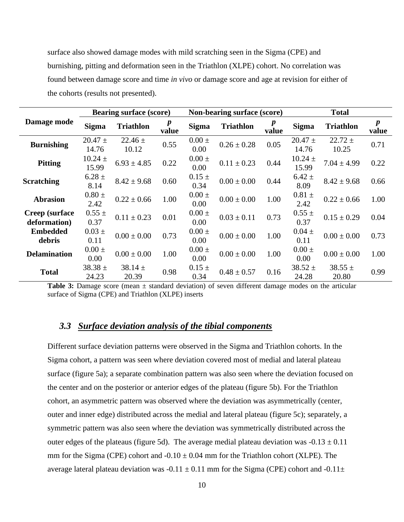surface also showed damage modes with mild scratching seen in the Sigma (CPE) and burnishing, pitting and deformation seen in the Triathlon (XLPE) cohort. No correlation was found between damage score and time *in vivo* or damage score and age at revision for either of the cohorts (results not presented).

| Damage mode                           | <b>Bearing surface (score)</b> |                      | Non-bearing surface (score) |                    | <b>Total</b>     |       |                      |                      |                           |
|---------------------------------------|--------------------------------|----------------------|-----------------------------|--------------------|------------------|-------|----------------------|----------------------|---------------------------|
|                                       | <b>Sigma</b>                   | <b>Triathlon</b>     | value                       | <b>Sigma</b>       | <b>Triathlon</b> | value | <b>Sigma</b>         | <b>Triathlon</b>     | $\boldsymbol{p}$<br>value |
| <b>Burnishing</b>                     | $20.47 \pm$<br>14.76           | $22.46 \pm$<br>10.12 | 0.55                        | $0.00 \pm$<br>0.00 | $0.26 \pm 0.28$  | 0.05  | $20.47 \pm$<br>14.76 | $22.72 \pm$<br>10.25 | 0.71                      |
| <b>Pitting</b>                        | $10.24 \pm$<br>15.99           | $6.93 \pm 4.85$      | 0.22                        | $0.00 \pm$<br>0.00 | $0.11 \pm 0.23$  | 0.44  | $10.24 \pm$<br>15.99 | $7.04 \pm 4.99$      | 0.22                      |
| <b>Scratching</b>                     | $6.28 \pm$<br>8.14             | $8.42 \pm 9.68$      | 0.60                        | $0.15 \pm$<br>0.34 | $0.00 \pm 0.00$  | 0.44  | $6.42 \pm$<br>8.09   | $8.42 \pm 9.68$      | 0.66                      |
| <b>Abrasion</b>                       | $0.80 \pm$<br>2.42             | $0.22 \pm 0.66$      | 1.00                        | $0.00 \pm$<br>0.00 | $0.00 \pm 0.00$  | 1.00  | $0.81 \pm$<br>2.42   | $0.22 \pm 0.66$      | 1.00                      |
| <b>Creep</b> (surface<br>deformation) | $0.55 \pm$<br>0.37             | $0.11 \pm 0.23$      | 0.01                        | $0.00 \pm$<br>0.00 | $0.03 \pm 0.11$  | 0.73  | $0.55 \pm$<br>0.37   | $0.15 \pm 0.29$      | 0.04                      |
| <b>Embedded</b><br>debris             | $0.03 \pm$<br>0.11             | $0.00 \pm 0.00$      | 0.73                        | $0.00 \pm$<br>0.00 | $0.00 \pm 0.00$  | 1.00  | $0.04 \pm$<br>0.11   | $0.00 \pm 0.00$      | 0.73                      |
| <b>Delamination</b>                   | $0.00 \pm$<br>0.00             | $0.00 \pm 0.00$      | 1.00                        | $0.00 \pm$<br>0.00 | $0.00 \pm 0.00$  | 1.00  | $0.00 \pm$<br>0.00   | $0.00 \pm 0.00$      | 1.00                      |
| <b>Total</b>                          | $38.38 \pm$<br>24.23           | 38.14 $\pm$<br>20.39 | 0.98                        | $0.15 \pm$<br>0.34 | $0.48 \pm 0.57$  | 0.16  | $38.52 \pm$<br>24.28 | $38.55 \pm$<br>20.80 | 0.99                      |

Table 3: Damage score (mean  $\pm$  standard deviation) of seven different damage modes on the articular surface of Sigma (CPE) and Triathlon (XLPE) inserts

#### *3.3 Surface deviation analysis of the tibial components*

Different surface deviation patterns were observed in the Sigma and Triathlon cohorts. In the Sigma cohort, a pattern was seen where deviation covered most of medial and lateral plateau surface (figure 5a); a separate combination pattern was also seen where the deviation focused on the center and on the posterior or anterior edges of the plateau (figure 5b). For the Triathlon cohort, an asymmetric pattern was observed where the deviation was asymmetrically (center, outer and inner edge) distributed across the medial and lateral plateau (figure 5c); separately, a symmetric pattern was also seen where the deviation was symmetrically distributed across the outer edges of the plateaus (figure 5d). The average medial plateau deviation was  $-0.13 \pm 0.11$ mm for the Sigma (CPE) cohort and  $-0.10 \pm 0.04$  mm for the Triathlon cohort (XLPE). The average lateral plateau deviation was  $-0.11 \pm 0.11$  mm for the Sigma (CPE) cohort and  $-0.11 \pm 0.11$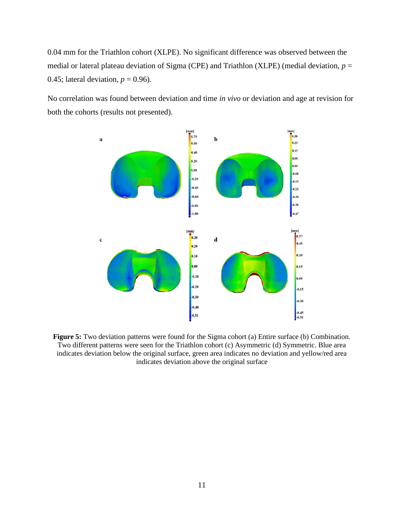0.04 mm for the Triathlon cohort (XLPE). No significant difference was observed between the medial or lateral plateau deviation of Sigma (CPE) and Triathlon (XLPE) (medial deviation,  $p =$ 0.45; lateral deviation,  $p = 0.96$ ).

No correlation was found between deviation and time *in vivo* or deviation and age at revision for both the cohorts (results not presented).



**Figure 5:** Two deviation patterns were found for the Sigma cohort (a) Entire surface (b) Combination. Two different patterns were seen for the Triathlon cohort (c) Asymmetric (d) Symmetric. Blue area indicates deviation below the original surface, green area indicates no deviation and yellow/red area indicates deviation above the original surface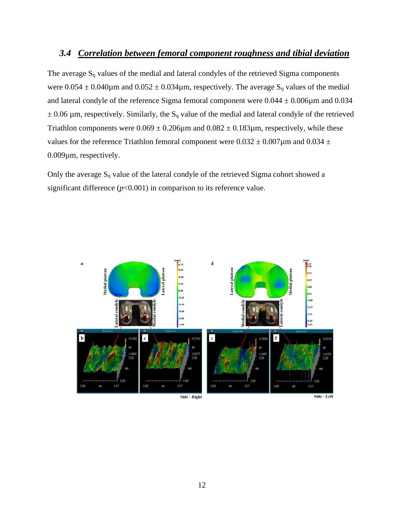### *3.4 Correlation between femoral component roughness and tibial deviation*

The average  $S_q$  values of the medial and lateral condyles of the retrieved Sigma components were  $0.054 \pm 0.040 \mu$ m and  $0.052 \pm 0.034 \mu$ m, respectively. The average S<sub>q</sub> values of the medial and lateral condyle of the reference Sigma femoral component were  $0.044 \pm 0.006 \mu$ m and  $0.034$  $\pm$  0.06  $\mu$ m, respectively. Similarly, the S<sub>q</sub> value of the medial and lateral condyle of the retrieved Triathlon components were  $0.069 \pm 0.206 \mu$ m and  $0.082 \pm 0.183 \mu$ m, respectively, while these values for the reference Triathlon femoral component were  $0.032 \pm 0.007 \mu$ m and  $0.034 \pm 0.007 \mu$ 0.009µm, respectively.

Only the average  $S_q$  value of the lateral condyle of the retrieved Sigma cohort showed a significant difference  $(p<0.001)$  in comparison to its reference value.

![](_page_11_Figure_3.jpeg)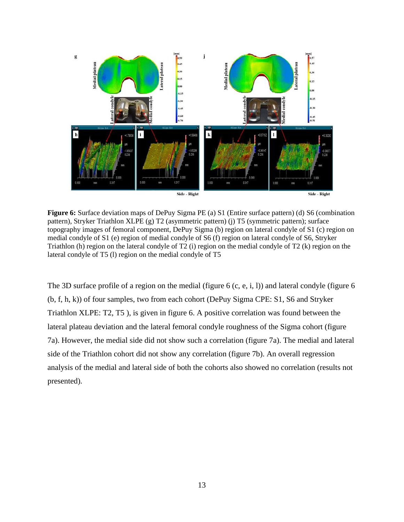![](_page_12_Figure_0.jpeg)

**Figure 6:** Surface deviation maps of DePuy Sigma PE (a) S1 (Entire surface pattern) (d) S6 (combination pattern), Stryker Triathlon XLPE (g) T2 (asymmetric pattern) (j) T5 (symmetric pattern); surface topography images of femoral component, DePuy Sigma (b) region on lateral condyle of S1 (c) region on medial condyle of S1 (e) region of medial condyle of S6 (f) region on lateral condyle of S6, Stryker Triathlon (h) region on the lateral condyle of T2 (i) region on the medial condyle of T2 (k) region on the lateral condyle of T5 (l) region on the medial condyle of T5

The 3D surface profile of a region on the medial (figure 6 (c, e, i, l)) and lateral condyle (figure 6 (b, f, h, k)) of four samples, two from each cohort (DePuy Sigma CPE: S1, S6 and Stryker Triathlon XLPE: T2, T5 ), is given in figure 6. A positive correlation was found between the lateral plateau deviation and the lateral femoral condyle roughness of the Sigma cohort (figure 7a). However, the medial side did not show such a correlation (figure 7a). The medial and lateral side of the Triathlon cohort did not show any correlation (figure 7b). An overall regression analysis of the medial and lateral side of both the cohorts also showed no correlation (results not presented).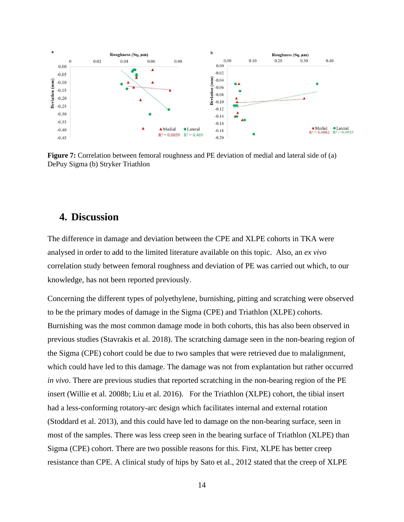![](_page_13_Figure_0.jpeg)

**Figure 7:** Correlation between femoral roughness and PE deviation of medial and lateral side of (a) DePuy Sigma (b) Stryker Triathlon

# **4. Discussion**

The difference in damage and deviation between the CPE and XLPE cohorts in TKA were analysed in order to add to the limited literature available on this topic. Also, an *ex vivo* correlation study between femoral roughness and deviation of PE was carried out which, to our knowledge, has not been reported previously.

Concerning the different types of polyethylene, burnishing, pitting and scratching were observed to be the primary modes of damage in the Sigma (CPE) and Triathlon (XLPE) cohorts. Burnishing was the most common damage mode in both cohorts, this has also been observed in previous studies (Stavrakis et al. 2018). The scratching damage seen in the non-bearing region of the Sigma (CPE) cohort could be due to two samples that were retrieved due to malalignment, which could have led to this damage. The damage was not from explantation but rather occurred *in vivo*. There are previous studies that reported scratching in the non-bearing region of the PE insert (Willie et al. 2008b; Liu et al. 2016). For the Triathlon (XLPE) cohort, the tibial insert had a less-conforming rotatory-arc design which facilitates internal and external rotation (Stoddard et al. 2013), and this could have led to damage on the non-bearing surface, seen in most of the samples. There was less creep seen in the bearing surface of Triathlon (XLPE) than Sigma (CPE) cohort. There are two possible reasons for this. First, XLPE has better creep resistance than CPE. A clinical study of hips by Sato et al., 2012 stated that the creep of XLPE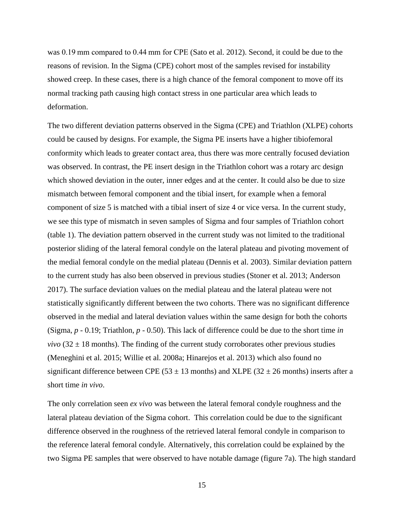was 0.19 mm compared to 0.44 mm for CPE (Sato et al. 2012). Second, it could be due to the reasons of revision. In the Sigma (CPE) cohort most of the samples revised for instability showed creep. In these cases, there is a high chance of the femoral component to move off its normal tracking path causing high contact stress in one particular area which leads to deformation.

The two different deviation patterns observed in the Sigma (CPE) and Triathlon (XLPE) cohorts could be caused by designs. For example, the Sigma PE inserts have a higher tibiofemoral conformity which leads to greater contact area, thus there was more centrally focused deviation was observed. In contrast, the PE insert design in the Triathlon cohort was a rotary arc design which showed deviation in the outer, inner edges and at the center. It could also be due to size mismatch between femoral component and the tibial insert, for example when a femoral component of size 5 is matched with a tibial insert of size 4 or vice versa. In the current study, we see this type of mismatch in seven samples of Sigma and four samples of Triathlon cohort (table 1). The deviation pattern observed in the current study was not limited to the traditional posterior sliding of the lateral femoral condyle on the lateral plateau and pivoting movement of the medial femoral condyle on the medial plateau (Dennis et al. 2003). Similar deviation pattern to the current study has also been observed in previous studies (Stoner et al. 2013; Anderson 2017). The surface deviation values on the medial plateau and the lateral plateau were not statistically significantly different between the two cohorts. There was no significant difference observed in the medial and lateral deviation values within the same design for both the cohorts (Sigma, *p* - 0.19; Triathlon, *p* - 0.50). This lack of difference could be due to the short time *in vivo* ( $32 \pm 18$  months). The finding of the current study corroborates other previous studies (Meneghini et al. 2015; Willie et al. 2008a; Hinarejos et al. 2013) which also found no significant difference between CPE (53  $\pm$  13 months) and XLPE (32  $\pm$  26 months) inserts after a short time *in vivo*.

The only correlation seen *ex vivo* was between the lateral femoral condyle roughness and the lateral plateau deviation of the Sigma cohort. This correlation could be due to the significant difference observed in the roughness of the retrieved lateral femoral condyle in comparison to the reference lateral femoral condyle. Alternatively, this correlation could be explained by the two Sigma PE samples that were observed to have notable damage (figure 7a). The high standard

15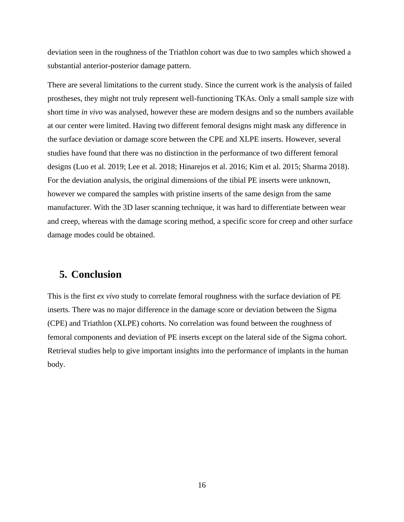deviation seen in the roughness of the Triathlon cohort was due to two samples which showed a substantial anterior-posterior damage pattern.

There are several limitations to the current study. Since the current work is the analysis of failed prostheses, they might not truly represent well-functioning TKAs. Only a small sample size with short time *in vivo* was analysed, however these are modern designs and so the numbers available at our center were limited. Having two different femoral designs might mask any difference in the surface deviation or damage score between the CPE and XLPE inserts. However, several studies have found that there was no distinction in the performance of two different femoral designs (Luo et al. 2019; Lee et al. 2018; Hinarejos et al. 2016; Kim et al. 2015; Sharma 2018). For the deviation analysis, the original dimensions of the tibial PE inserts were unknown, however we compared the samples with pristine inserts of the same design from the same manufacturer. With the 3D laser scanning technique, it was hard to differentiate between wear and creep, whereas with the damage scoring method, a specific score for creep and other surface damage modes could be obtained.

### **5. Conclusion**

This is the first *ex vivo* study to correlate femoral roughness with the surface deviation of PE inserts. There was no major difference in the damage score or deviation between the Sigma (CPE) and Triathlon (XLPE) cohorts. No correlation was found between the roughness of femoral components and deviation of PE inserts except on the lateral side of the Sigma cohort. Retrieval studies help to give important insights into the performance of implants in the human body.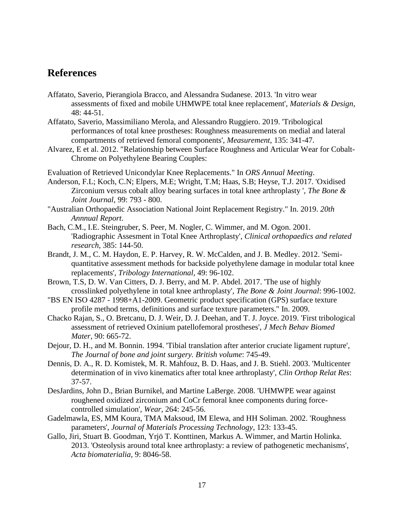### **References**

- Affatato, Saverio, Pierangiola Bracco, and Alessandra Sudanese. 2013. 'In vitro wear assessments of fixed and mobile UHMWPE total knee replacement', *Materials & Design*, 48: 44-51.
- Affatato, Saverio, Massimiliano Merola, and Alessandro Ruggiero. 2019. 'Tribological performances of total knee prostheses: Roughness measurements on medial and lateral compartments of retrieved femoral components', *Measurement*, 135: 341-47.
- Alvarez, E et al. 2012. "Relationship between Surface Roughness and Articular Wear for Cobalt-Chrome on Polyethylene Bearing Couples:

Evaluation of Retrieved Unicondylar Knee Replacements." In *ORS Annual Meeting*.

- Anderson, F.L; Koch, C.N; Elpers, M.E; Wright, T.M; Haas, S.B; Heyse, T.J. 2017. 'Oxidised Zirconium versus cobalt alloy bearing surfaces in total knee arthroplasty ', *The Bone & Joint Journal*, 99: 793 - 800.
- "Australian Orthopaedic Association National Joint Replacement Registry." In. 2019. *20th Annnual Report*.
- Bach, C.M., I.E. Steingruber, S. Peer, M. Nogler, C. Wimmer, and M. Ogon. 2001. 'Radiographic Assesment in Total Knee Arthroplasty', *Clinical orthopaedics and related research*, 385: 144-50.
- Brandt, J. M., C. M. Haydon, E. P. Harvey, R. W. McCalden, and J. B. Medley. 2012. 'Semiquantitative assessment methods for backside polyethylene damage in modular total knee replacements', *Tribology International*, 49: 96-102.
- Brown, T.S, D. W. Van Citters, D. J. Berry, and M. P. Abdel. 2017. 'The use of highly crosslinked polyethylene in total knee arthroplasty', *The Bone & Joint Journal*: 996-1002.
- "BS EN ISO 4287 1998+A1-2009. Geometric product specification (GPS) surface texture profile method terms, definitions and surface texture parameters." In. 2009.
- Chacko Rajan, S., O. Bretcanu, D. J. Weir, D. J. Deehan, and T. J. Joyce. 2019. 'First tribological assessment of retrieved Oxinium patellofemoral prostheses', *J Mech Behav Biomed Mater*, 90: 665-72.
- Dejour, D. H., and M. Bonnin. 1994. 'Tibial translation after anterior cruciate ligament rupture', *The Journal of bone and joint surgery. British volume*: 745-49.
- Dennis, D. A., R. D. Komistek, M. R. Mahfouz, B. D. Haas, and J. B. Stiehl. 2003. 'Multicenter determination of in vivo kinematics after total knee arthroplasty', *Clin Orthop Relat Res*: 37-57.
- DesJardins, John D., Brian Burnikel, and Martine LaBerge. 2008. 'UHMWPE wear against roughened oxidized zirconium and CoCr femoral knee components during forcecontrolled simulation', *Wear*, 264: 245-56.
- Gadelmawla, ES, MM Koura, TMA Maksoud, IM Elewa, and HH Soliman. 2002. 'Roughness parameters', *Journal of Materials Processing Technology*, 123: 133-45.
- Gallo, Jiri, Stuart B. Goodman, Yrjö T. Konttinen, Markus A. Wimmer, and Martin Holinka. 2013. 'Osteolysis around total knee arthroplasty: a review of pathogenetic mechanisms', *Acta biomaterialia*, 9: 8046-58.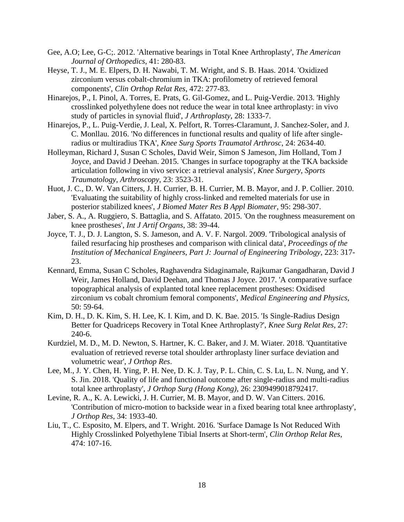- Gee, A.O; Lee, G-C;. 2012. 'Alternative bearings in Total Knee Arthroplasty', *The American Journal of Orthopedics*, 41: 280-83.
- Heyse, T. J., M. E. Elpers, D. H. Nawabi, T. M. Wright, and S. B. Haas. 2014. 'Oxidized zirconium versus cobalt-chromium in TKA: profilometry of retrieved femoral components', *Clin Orthop Relat Res*, 472: 277-83.
- Hinarejos, P., I. Pinol, A. Torres, E. Prats, G. Gil-Gomez, and L. Puig-Verdie. 2013. 'Highly crosslinked polyethylene does not reduce the wear in total knee arthroplasty: in vivo study of particles in synovial fluid', *J Arthroplasty*, 28: 1333-7.
- Hinarejos, P., L. Puig-Verdie, J. Leal, X. Pelfort, R. Torres-Claramunt, J. Sanchez-Soler, and J. C. Monllau. 2016. 'No differences in functional results and quality of life after singleradius or multiradius TKA', *Knee Surg Sports Traumatol Arthrosc*, 24: 2634-40.
- Holleyman, Richard J, Susan C Scholes, David Weir, Simon S Jameson, Jim Holland, Tom J Joyce, and David J Deehan. 2015. 'Changes in surface topography at the TKA backside articulation following in vivo service: a retrieval analysis', *Knee Surgery, Sports Traumatology, Arthroscopy*, 23: 3523-31.
- Huot, J. C., D. W. Van Citters, J. H. Currier, B. H. Currier, M. B. Mayor, and J. P. Collier. 2010. 'Evaluating the suitability of highly cross-linked and remelted materials for use in posterior stabilized knees', *J Biomed Mater Res B Appl Biomater*, 95: 298-307.
- Jaber, S. A., A. Ruggiero, S. Battaglia, and S. Affatato. 2015. 'On the roughness measurement on knee prostheses', *Int J Artif Organs*, 38: 39-44.
- Joyce, T. J., D. J. Langton, S. S. Jameson, and A. V. F. Nargol. 2009. 'Tribological analysis of failed resurfacing hip prostheses and comparison with clinical data', *Proceedings of the Institution of Mechanical Engineers, Part J: Journal of Engineering Tribology*, 223: 317- 23.
- Kennard, Emma, Susan C Scholes, Raghavendra Sidaginamale, Rajkumar Gangadharan, David J Weir, James Holland, David Deehan, and Thomas J Joyce. 2017. 'A comparative surface topographical analysis of explanted total knee replacement prostheses: Oxidised zirconium vs cobalt chromium femoral components', *Medical Engineering and Physics*, 50: 59-64.
- Kim, D. H., D. K. Kim, S. H. Lee, K. I. Kim, and D. K. Bae. 2015. 'Is Single-Radius Design Better for Quadriceps Recovery in Total Knee Arthroplasty?', *Knee Surg Relat Res*, 27: 240-6.
- Kurdziel, M. D., M. D. Newton, S. Hartner, K. C. Baker, and J. M. Wiater. 2018. 'Quantitative evaluation of retrieved reverse total shoulder arthroplasty liner surface deviation and volumetric wear', *J Orthop Res*.
- Lee, M., J. Y. Chen, H. Ying, P. H. Nee, D. K. J. Tay, P. L. Chin, C. S. Lu, L. N. Nung, and Y. S. Jin. 2018. 'Quality of life and functional outcome after single-radius and multi-radius total knee arthroplasty', *J Orthop Surg (Hong Kong)*, 26: 2309499018792417.
- Levine, R. A., K. A. Lewicki, J. H. Currier, M. B. Mayor, and D. W. Van Citters. 2016. 'Contribution of micro-motion to backside wear in a fixed bearing total knee arthroplasty', *J Orthop Res*, 34: 1933-40.
- Liu, T., C. Esposito, M. Elpers, and T. Wright. 2016. 'Surface Damage Is Not Reduced With Highly Crosslinked Polyethylene Tibial Inserts at Short-term', *Clin Orthop Relat Res*, 474: 107-16.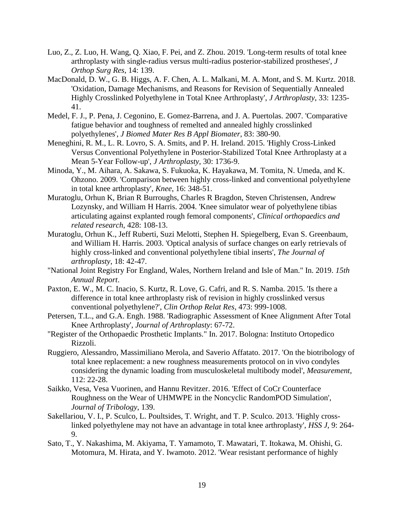- Luo, Z., Z. Luo, H. Wang, Q. Xiao, F. Pei, and Z. Zhou. 2019. 'Long-term results of total knee arthroplasty with single-radius versus multi-radius posterior-stabilized prostheses', *J Orthop Surg Res*, 14: 139.
- MacDonald, D. W., G. B. Higgs, A. F. Chen, A. L. Malkani, M. A. Mont, and S. M. Kurtz. 2018. 'Oxidation, Damage Mechanisms, and Reasons for Revision of Sequentially Annealed Highly Crosslinked Polyethylene in Total Knee Arthroplasty', *J Arthroplasty*, 33: 1235- 41.
- Medel, F. J., P. Pena, J. Cegonino, E. Gomez-Barrena, and J. A. Puertolas. 2007. 'Comparative fatigue behavior and toughness of remelted and annealed highly crosslinked polyethylenes', *J Biomed Mater Res B Appl Biomater*, 83: 380-90.
- Meneghini, R. M., L. R. Lovro, S. A. Smits, and P. H. Ireland. 2015. 'Highly Cross-Linked Versus Conventional Polyethylene in Posterior-Stabilized Total Knee Arthroplasty at a Mean 5-Year Follow-up', *J Arthroplasty*, 30: 1736-9.
- Minoda, Y., M. Aihara, A. Sakawa, S. Fukuoka, K. Hayakawa, M. Tomita, N. Umeda, and K. Ohzono. 2009. 'Comparison between highly cross-linked and conventional polyethylene in total knee arthroplasty', *Knee*, 16: 348-51.
- Muratoglu, Orhun K, Brian R Burroughs, Charles R Bragdon, Steven Christensen, Andrew Lozynsky, and William H Harris. 2004. 'Knee simulator wear of polyethylene tibias articulating against explanted rough femoral components', *Clinical orthopaedics and related research*, 428: 108-13.
- Muratoglu, Orhun K., Jeff Ruberti, Suzi Melotti, Stephen H. Spiegelberg, Evan S. Greenbaum, and William H. Harris. 2003. 'Optical analysis of surface changes on early retrievals of highly cross-linked and conventional polyethylene tibial inserts', *The Journal of arthroplasty*, 18: 42-47.
- "National Joint Registry For England, Wales, Northern Ireland and Isle of Man." In. 2019. *15th Annual Report*.
- Paxton, E. W., M. C. Inacio, S. Kurtz, R. Love, G. Cafri, and R. S. Namba. 2015. 'Is there a difference in total knee arthroplasty risk of revision in highly crosslinked versus conventional polyethylene?', *Clin Orthop Relat Res*, 473: 999-1008.
- Petersen, T.L., and G.A. Engh. 1988. 'Radiographic Assessment of Knee Alignment After Total Knee Arthroplasty', *Journal of Arthroplasty*: 67-72.
- "Register of the Orthopaedic Prosthetic Implants." In. 2017. Bologna: Instituto Ortopedico Rizzoli.
- Ruggiero, Alessandro, Massimiliano Merola, and Saverio Affatato. 2017. 'On the biotribology of total knee replacement: a new roughness measurements protocol on in vivo condyles considering the dynamic loading from musculoskeletal multibody model', *Measurement*, 112: 22-28.
- Saikko, Vesa, Vesa Vuorinen, and Hannu Revitzer. 2016. 'Effect of CoCr Counterface Roughness on the Wear of UHMWPE in the Noncyclic RandomPOD Simulation', *Journal of Tribology*, 139.
- Sakellariou, V. I., P. Sculco, L. Poultsides, T. Wright, and T. P. Sculco. 2013. 'Highly crosslinked polyethylene may not have an advantage in total knee arthroplasty', *HSS J*, 9: 264- 9.
- Sato, T., Y. Nakashima, M. Akiyama, T. Yamamoto, T. Mawatari, T. Itokawa, M. Ohishi, G. Motomura, M. Hirata, and Y. Iwamoto. 2012. 'Wear resistant performance of highly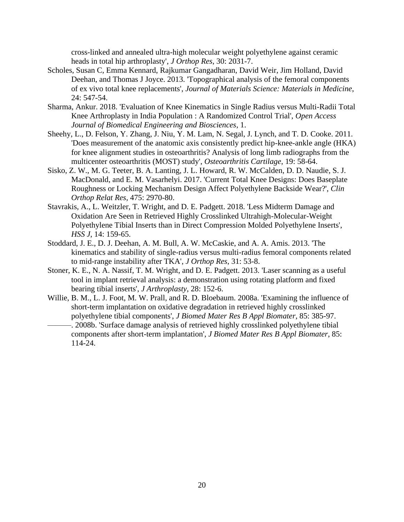cross-linked and annealed ultra-high molecular weight polyethylene against ceramic heads in total hip arthroplasty', *J Orthop Res*, 30: 2031-7.

- Scholes, Susan C, Emma Kennard, Rajkumar Gangadharan, David Weir, Jim Holland, David Deehan, and Thomas J Joyce. 2013. 'Topographical analysis of the femoral components of ex vivo total knee replacements', *Journal of Materials Science: Materials in Medicine*, 24: 547-54.
- Sharma, Ankur. 2018. 'Evaluation of Knee Kinematics in Single Radius versus Multi-Radii Total Knee Arthroplasty in India Population : A Randomized Control Trial', *Open Access Journal of Biomedical Engineering and Biosciences*, 1.
- Sheehy, L., D. Felson, Y. Zhang, J. Niu, Y. M. Lam, N. Segal, J. Lynch, and T. D. Cooke. 2011. 'Does measurement of the anatomic axis consistently predict hip-knee-ankle angle (HKA) for knee alignment studies in osteoarthritis? Analysis of long limb radiographs from the multicenter osteoarthritis (MOST) study', *Osteoarthritis Cartilage*, 19: 58-64.
- Sisko, Z. W., M. G. Teeter, B. A. Lanting, J. L. Howard, R. W. McCalden, D. D. Naudie, S. J. MacDonald, and E. M. Vasarhelyi. 2017. 'Current Total Knee Designs: Does Baseplate Roughness or Locking Mechanism Design Affect Polyethylene Backside Wear?', *Clin Orthop Relat Res*, 475: 2970-80.
- Stavrakis, A., L. Weitzler, T. Wright, and D. E. Padgett. 2018. 'Less Midterm Damage and Oxidation Are Seen in Retrieved Highly Crosslinked Ultrahigh-Molecular-Weight Polyethylene Tibial Inserts than in Direct Compression Molded Polyethylene Inserts', *HSS J*, 14: 159-65.
- Stoddard, J. E., D. J. Deehan, A. M. Bull, A. W. McCaskie, and A. A. Amis. 2013. 'The kinematics and stability of single-radius versus multi-radius femoral components related to mid-range instability after TKA', *J Orthop Res*, 31: 53-8.
- Stoner, K. E., N. A. Nassif, T. M. Wright, and D. E. Padgett. 2013. 'Laser scanning as a useful tool in implant retrieval analysis: a demonstration using rotating platform and fixed bearing tibial inserts', *J Arthroplasty*, 28: 152-6.
- Willie, B. M., L. J. Foot, M. W. Prall, and R. D. Bloebaum. 2008a. 'Examining the influence of short-term implantation on oxidative degradation in retrieved highly crosslinked polyethylene tibial components', *J Biomed Mater Res B Appl Biomater*, 85: 385-97.
- -. 2008b. 'Surface damage analysis of retrieved highly crosslinked polyethylene tibial components after short-term implantation', *J Biomed Mater Res B Appl Biomater*, 85: 114-24.